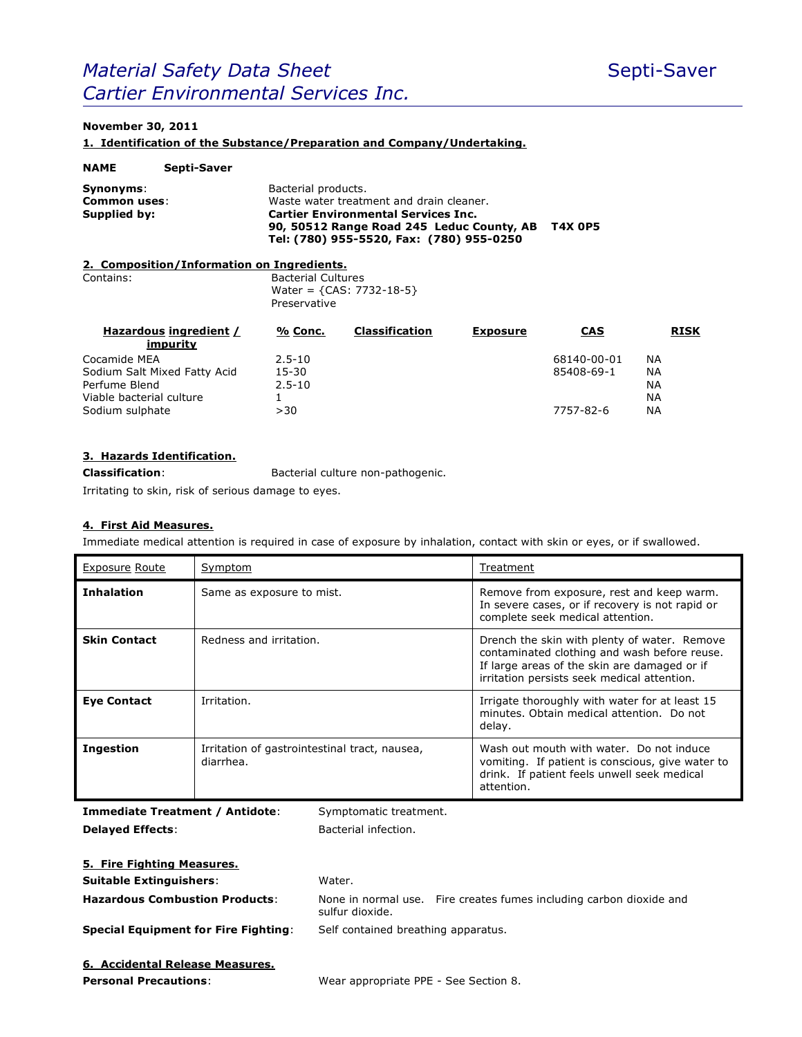# *Material Safety Data Sheet* Septi-Saver *Cartier Environmental Services Inc.*

# **November 30, 2011**

**1. Identification of the Substance/Preparation and Company/Undertaking.**

Preservative

| <b>NAME</b>  | Septi-Saver                                |                                                                                                                                                       |  |  |  |
|--------------|--------------------------------------------|-------------------------------------------------------------------------------------------------------------------------------------------------------|--|--|--|
| Synonyms:    |                                            | Bacterial products.                                                                                                                                   |  |  |  |
| Common uses: |                                            | Waste water treatment and drain cleaner.                                                                                                              |  |  |  |
| Supplied by: |                                            | <b>Cartier Environmental Services Inc.</b><br>90, 50512 Range Road 245 Leduc County, AB<br><b>T4X 0P5</b><br>Tel: (780) 955-5520, Fax: (780) 955-0250 |  |  |  |
|              | 2. Composition/Information on Ingredients. |                                                                                                                                                       |  |  |  |
| Contains:    |                                            | <b>Bacterial Cultures</b><br>Water = ${CAS: 7732-18-5}$                                                                                               |  |  |  |

| Hazardous ingredient /<br>impurity | % Conc.    | <b>Classification</b> | <b>Exposure</b> | <b>CAS</b>  | <b>RISK</b> |
|------------------------------------|------------|-----------------------|-----------------|-------------|-------------|
| Cocamide MEA                       | $2.5 - 10$ |                       |                 | 68140-00-01 | ΝA          |
| Sodium Salt Mixed Fatty Acid       | 15-30      |                       |                 | 85408-69-1  | NA          |
| Perfume Blend                      | $2.5 - 10$ |                       |                 |             | NA          |
| Viable bacterial culture           |            |                       |                 |             | ΝA          |
| Sodium sulphate                    | > 30       |                       |                 | 7757-82-6   | ΝA          |

### **3. Hazards Identification.**

**Classification**: Bacterial culture non-pathogenic.

Irritating to skin, risk of serious damage to eyes.

#### **4. First Aid Measures.**

Immediate medical attention is required in case of exposure by inhalation, contact with skin or eyes, or if swallowed.

| Exposure Route      | Symptom                                                    | Treatment                                                                                                                                                                                   |
|---------------------|------------------------------------------------------------|---------------------------------------------------------------------------------------------------------------------------------------------------------------------------------------------|
| <b>Inhalation</b>   | Same as exposure to mist.                                  | Remove from exposure, rest and keep warm.<br>In severe cases, or if recovery is not rapid or<br>complete seek medical attention.                                                            |
| <b>Skin Contact</b> | Redness and irritation.                                    | Drench the skin with plenty of water. Remove<br>contaminated clothing and wash before reuse.<br>If large areas of the skin are damaged or if<br>irritation persists seek medical attention. |
| <b>Eye Contact</b>  | Irritation.                                                | Irrigate thoroughly with water for at least 15<br>minutes. Obtain medical attention. Do not<br>delay.                                                                                       |
| <b>Ingestion</b>    | Irritation of gastrointestinal tract, nausea,<br>diarrhea. | Wash out mouth with water. Do not induce<br>vomiting. If patient is conscious, give water to<br>drink. If patient feels unwell seek medical<br>attention.                                   |

**Immediate Treatment / Antidote**: Symptomatic treatment. **Delayed Effects:** Bacterial infection.

| 5. Fire Fighting Measures.            |                                     |                                                                     |
|---------------------------------------|-------------------------------------|---------------------------------------------------------------------|
| <b>Suitable Extinguishers:</b>        | Water.                              |                                                                     |
| <b>Hazardous Combustion Products:</b> | sulfur dioxide.                     | None in normal use. Fire creates fumes including carbon dioxide and |
| Special Equipment for Fire Fighting:  | Self contained breathing apparatus. |                                                                     |
| 6. Accidental Release Measures.       |                                     |                                                                     |

**Personal Precautions**: Wear appropriate PPE - See Section 8.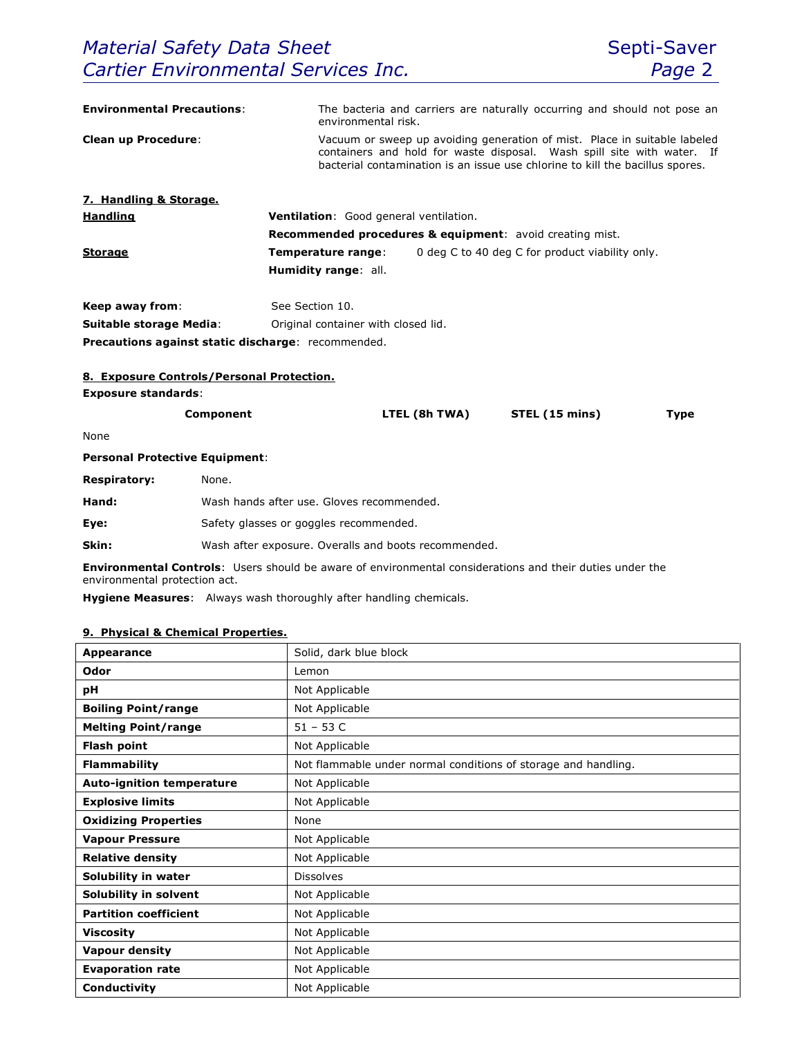| <b>Environmental Precautions:</b> |                                                      | environmental risk.                                                   |                                                                                                                                                                                                                                      | The bacteria and carriers are naturally occurring and should not pose an |             |  |
|-----------------------------------|------------------------------------------------------|-----------------------------------------------------------------------|--------------------------------------------------------------------------------------------------------------------------------------------------------------------------------------------------------------------------------------|--------------------------------------------------------------------------|-------------|--|
| <b>Clean up Procedure:</b>        |                                                      |                                                                       | Vacuum or sweep up avoiding generation of mist. Place in suitable labeled<br>containers and hold for waste disposal. Wash spill site with water. If<br>bacterial contamination is an issue use chlorine to kill the bacillus spores. |                                                                          |             |  |
| 7. Handling & Storage.            |                                                      |                                                                       |                                                                                                                                                                                                                                      |                                                                          |             |  |
| <b>Handling</b>                   |                                                      | Ventilation: Good general ventilation.                                |                                                                                                                                                                                                                                      |                                                                          |             |  |
|                                   |                                                      |                                                                       |                                                                                                                                                                                                                                      | <b>Recommended procedures &amp; equipment:</b> avoid creating mist.      |             |  |
| <b>Storage</b>                    |                                                      | 0 deg C to 40 deg C for product viability only.<br>Temperature range: |                                                                                                                                                                                                                                      |                                                                          |             |  |
|                                   |                                                      | Humidity range: all.                                                  |                                                                                                                                                                                                                                      |                                                                          |             |  |
| Keep away from:                   |                                                      | See Section 10.                                                       |                                                                                                                                                                                                                                      |                                                                          |             |  |
| <b>Suitable storage Media:</b>    |                                                      |                                                                       | Original container with closed lid.                                                                                                                                                                                                  |                                                                          |             |  |
|                                   |                                                      | Precautions against static discharge: recommended.                    |                                                                                                                                                                                                                                      |                                                                          |             |  |
|                                   | 8. Exposure Controls/Personal Protection.            |                                                                       |                                                                                                                                                                                                                                      |                                                                          |             |  |
| <b>Exposure standards:</b>        |                                                      |                                                                       |                                                                                                                                                                                                                                      |                                                                          |             |  |
|                                   | Component                                            |                                                                       | LTEL (8h TWA)                                                                                                                                                                                                                        | STEL (15 mins)                                                           | <b>Type</b> |  |
| None                              |                                                      |                                                                       |                                                                                                                                                                                                                                      |                                                                          |             |  |
|                                   | <b>Personal Protective Equipment:</b>                |                                                                       |                                                                                                                                                                                                                                      |                                                                          |             |  |
| <b>Respiratory:</b>               | None.                                                |                                                                       |                                                                                                                                                                                                                                      |                                                                          |             |  |
| Hand:                             |                                                      | Wash hands after use. Gloves recommended.                             |                                                                                                                                                                                                                                      |                                                                          |             |  |
| Eye:                              |                                                      | Safety glasses or goggles recommended.                                |                                                                                                                                                                                                                                      |                                                                          |             |  |
| Skin:                             | Wash after exposure. Overalls and boots recommended. |                                                                       |                                                                                                                                                                                                                                      |                                                                          |             |  |
|                                   |                                                      |                                                                       |                                                                                                                                                                                                                                      |                                                                          |             |  |

**Environmental Controls**: Users should be aware of environmental considerations and their duties under the environmental protection act.

**Hygiene Measures**: Always wash thoroughly after handling chemicals.

# **9. Physical & Chemical Properties.**

| <b>Appearance</b>                | Solid, dark blue block                                         |
|----------------------------------|----------------------------------------------------------------|
| Odor                             | Lemon                                                          |
| рH                               | Not Applicable                                                 |
| <b>Boiling Point/range</b>       | Not Applicable                                                 |
| <b>Melting Point/range</b>       | $51 - 53$ C                                                    |
| <b>Flash point</b>               | Not Applicable                                                 |
| <b>Flammability</b>              | Not flammable under normal conditions of storage and handling. |
| <b>Auto-ignition temperature</b> | Not Applicable                                                 |
| <b>Explosive limits</b>          | Not Applicable                                                 |
| <b>Oxidizing Properties</b>      | None                                                           |
| <b>Vapour Pressure</b>           | Not Applicable                                                 |
| <b>Relative density</b>          | Not Applicable                                                 |
| Solubility in water              | <b>Dissolves</b>                                               |
| Solubility in solvent            | Not Applicable                                                 |
| <b>Partition coefficient</b>     | Not Applicable                                                 |
| <b>Viscosity</b>                 | Not Applicable                                                 |
| <b>Vapour density</b>            | Not Applicable                                                 |
| <b>Evaporation rate</b>          | Not Applicable                                                 |
| Conductivity                     | Not Applicable                                                 |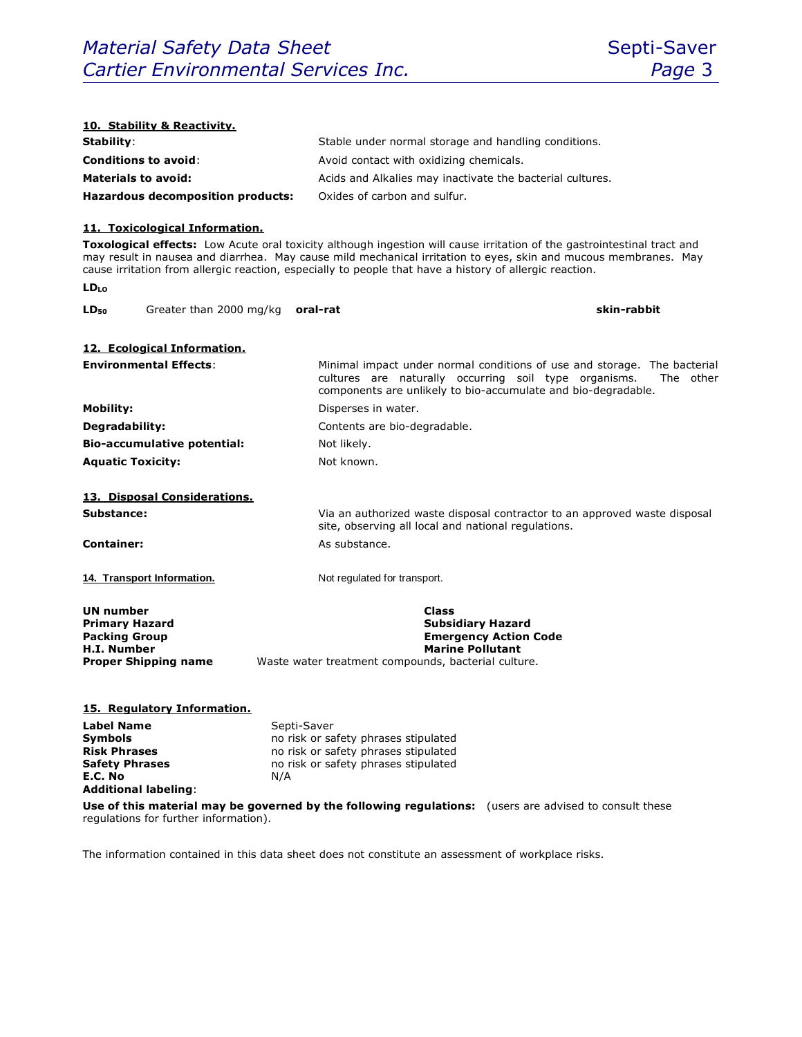| 10. Stability & Reactivity.                                 |                                                                                                                                                                                                                                                                                                                                                       |  |  |  |
|-------------------------------------------------------------|-------------------------------------------------------------------------------------------------------------------------------------------------------------------------------------------------------------------------------------------------------------------------------------------------------------------------------------------------------|--|--|--|
| Stability:                                                  | Stable under normal storage and handling conditions.                                                                                                                                                                                                                                                                                                  |  |  |  |
| <b>Conditions to avoid:</b>                                 | Avoid contact with oxidizing chemicals.                                                                                                                                                                                                                                                                                                               |  |  |  |
| <b>Materials to avoid:</b>                                  | Acids and Alkalies may inactivate the bacterial cultures.                                                                                                                                                                                                                                                                                             |  |  |  |
| <b>Hazardous decomposition products:</b>                    | Oxides of carbon and sulfur.                                                                                                                                                                                                                                                                                                                          |  |  |  |
|                                                             |                                                                                                                                                                                                                                                                                                                                                       |  |  |  |
| 11. Toxicological Information.                              |                                                                                                                                                                                                                                                                                                                                                       |  |  |  |
|                                                             | Toxological effects: Low Acute oral toxicity although ingestion will cause irritation of the gastrointestinal tract and<br>may result in nausea and diarrhea. May cause mild mechanical irritation to eyes, skin and mucous membranes. May<br>cause irritation from allergic reaction, especially to people that have a history of allergic reaction. |  |  |  |
| $LD_{LO}$                                                   |                                                                                                                                                                                                                                                                                                                                                       |  |  |  |
| Greater than 2000 mg/kg<br>$LD_{50}$                        | skin-rabbit<br>oral-rat                                                                                                                                                                                                                                                                                                                               |  |  |  |
| 12. Ecological Information.                                 |                                                                                                                                                                                                                                                                                                                                                       |  |  |  |
| <b>Environmental Effects:</b>                               | Minimal impact under normal conditions of use and storage. The bacterial<br>cultures are naturally occurring soil type organisms.<br>The other<br>components are unlikely to bio-accumulate and bio-degradable.                                                                                                                                       |  |  |  |
| <b>Mobility:</b>                                            | Disperses in water.                                                                                                                                                                                                                                                                                                                                   |  |  |  |
| Degradability:                                              | Contents are bio-degradable.                                                                                                                                                                                                                                                                                                                          |  |  |  |
| <b>Bio-accumulative potential:</b>                          | Not likely.                                                                                                                                                                                                                                                                                                                                           |  |  |  |
| <b>Aquatic Toxicity:</b>                                    | Not known.                                                                                                                                                                                                                                                                                                                                            |  |  |  |
| 13. Disposal Considerations.                                |                                                                                                                                                                                                                                                                                                                                                       |  |  |  |
| Substance:                                                  | Via an authorized waste disposal contractor to an approved waste disposal                                                                                                                                                                                                                                                                             |  |  |  |
|                                                             | site, observing all local and national regulations.                                                                                                                                                                                                                                                                                                   |  |  |  |
| <b>Container:</b>                                           | As substance.                                                                                                                                                                                                                                                                                                                                         |  |  |  |
|                                                             |                                                                                                                                                                                                                                                                                                                                                       |  |  |  |
| 14. Transport Information.                                  | Not regulated for transport.                                                                                                                                                                                                                                                                                                                          |  |  |  |
| <b>UN number</b>                                            | <b>Class</b>                                                                                                                                                                                                                                                                                                                                          |  |  |  |
| <b>Primary Hazard</b>                                       | <b>Subsidiary Hazard</b>                                                                                                                                                                                                                                                                                                                              |  |  |  |
| <b>Packing Group</b><br><b>H.I. Number</b>                  | <b>Emergency Action Code</b><br><b>Marine Pollutant</b>                                                                                                                                                                                                                                                                                               |  |  |  |
| <b>Proper Shipping name</b>                                 | Waste water treatment compounds, bacterial culture.                                                                                                                                                                                                                                                                                                   |  |  |  |
|                                                             |                                                                                                                                                                                                                                                                                                                                                       |  |  |  |
| 15. Regulatory Information.                                 |                                                                                                                                                                                                                                                                                                                                                       |  |  |  |
| <b>Label Name</b><br>Septi-Saver                            |                                                                                                                                                                                                                                                                                                                                                       |  |  |  |
| <b>Symbols</b><br>no risk or safety phrases stipulated      |                                                                                                                                                                                                                                                                                                                                                       |  |  |  |
| <b>Risk Phrases</b><br>no risk or safety phrases stipulated |                                                                                                                                                                                                                                                                                                                                                       |  |  |  |
| <b>Safety Phrases</b><br>E.C. No<br>N/A                     | no risk or safety phrases stipulated                                                                                                                                                                                                                                                                                                                  |  |  |  |
| <b>Additional labeling:</b>                                 |                                                                                                                                                                                                                                                                                                                                                       |  |  |  |
| regulations for further information).                       | Use of this material may be governed by the following regulations: (users are advised to consult these                                                                                                                                                                                                                                                |  |  |  |

The information contained in this data sheet does not constitute an assessment of workplace risks.